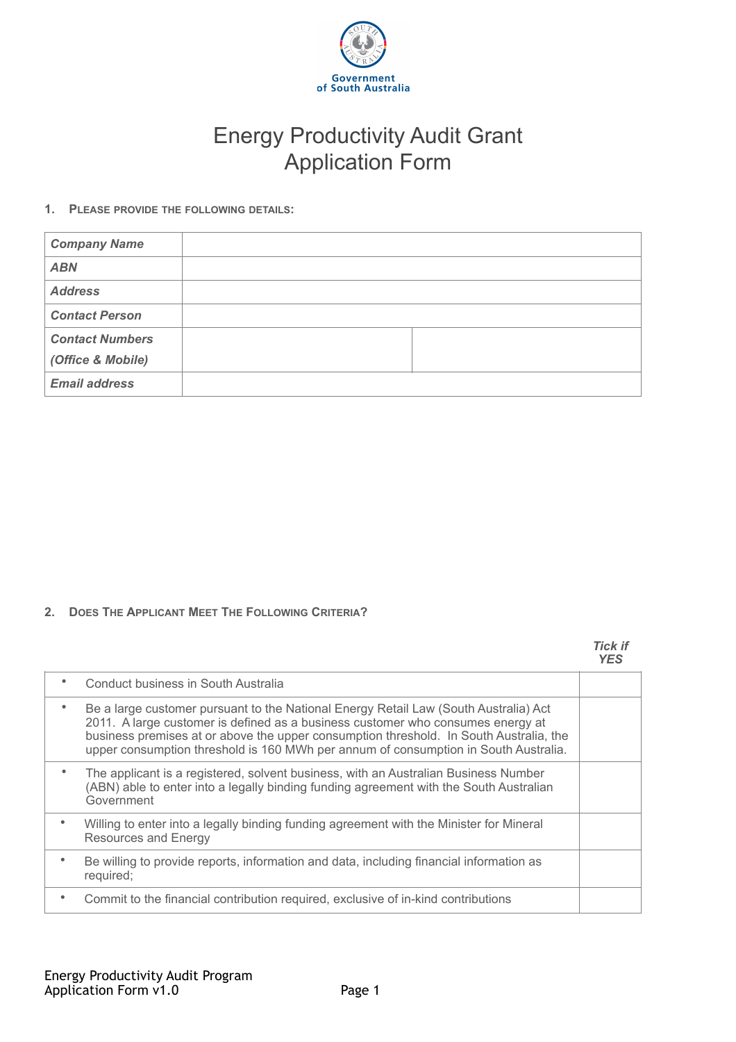

# Energy Productivity Audit Grant Application Form

### **1. PLEASE PROVIDE THE FOLLOWING DETAILS:**

| <b>Company Name</b>    |  |
|------------------------|--|
| <b>ABN</b>             |  |
| <b>Address</b>         |  |
| <b>Contact Person</b>  |  |
| <b>Contact Numbers</b> |  |
| (Office & Mobile)      |  |
| <b>Email address</b>   |  |

# **2. DOES THE APPLICANT MEET THE FOLLOWING CRITERIA?**

|                                                                                                                                                                                                                                                                                                                                                          | <b>Tick if</b><br><b>YES</b> |
|----------------------------------------------------------------------------------------------------------------------------------------------------------------------------------------------------------------------------------------------------------------------------------------------------------------------------------------------------------|------------------------------|
| Conduct business in South Australia                                                                                                                                                                                                                                                                                                                      |                              |
| Be a large customer pursuant to the National Energy Retail Law (South Australia) Act<br>2011. A large customer is defined as a business customer who consumes energy at<br>business premises at or above the upper consumption threshold. In South Australia, the<br>upper consumption threshold is 160 MWh per annum of consumption in South Australia. |                              |
| The applicant is a registered, solvent business, with an Australian Business Number<br>(ABN) able to enter into a legally binding funding agreement with the South Australian<br>Government                                                                                                                                                              |                              |
| Willing to enter into a legally binding funding agreement with the Minister for Mineral<br><b>Resources and Energy</b>                                                                                                                                                                                                                                   |                              |
| Be willing to provide reports, information and data, including financial information as<br>required;                                                                                                                                                                                                                                                     |                              |
| Commit to the financial contribution required, exclusive of in-kind contributions                                                                                                                                                                                                                                                                        |                              |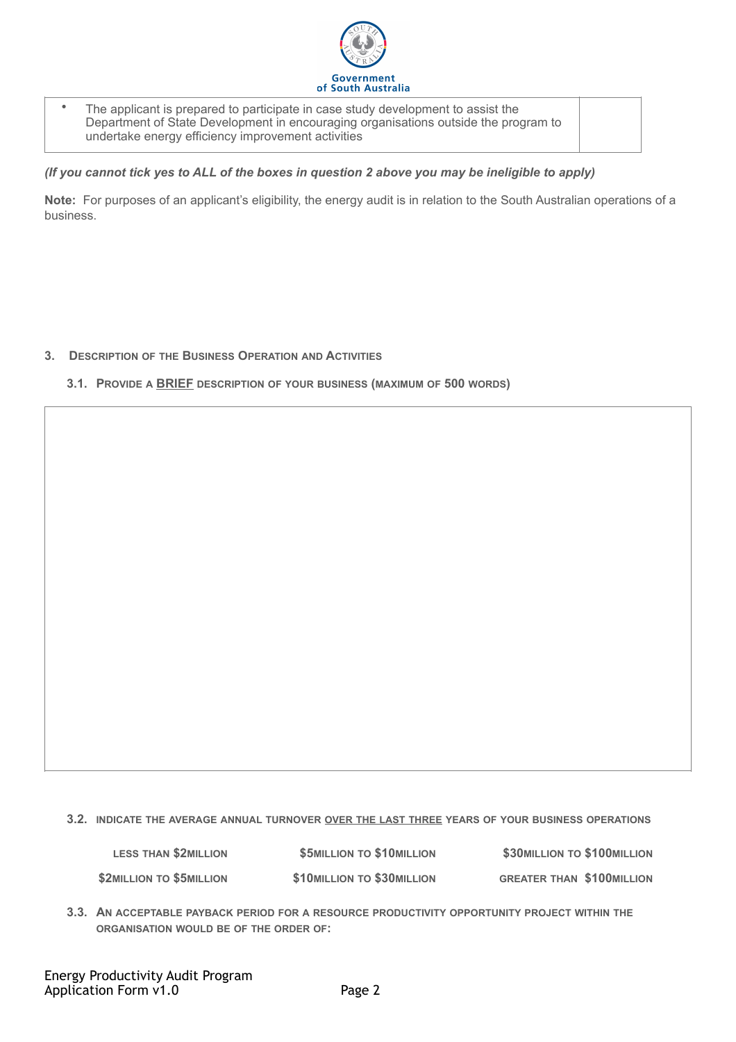

The applicant is prepared to participate in case study development to assist the Department of State Development in encouraging organisations outside the program to undertake energy efficiency improvement activities

### *(If you cannot tick yes to ALL of the boxes in question 2 above you may be ineligible to apply)*

**Note:** For purposes of an applicant's eligibility, the energy audit is in relation to the South Australian operations of a business.

### **3. DESCRIPTION OF THE BUSINESS OPERATION AND ACTIVITIES**

### **3.1. PROVIDE A BRIEF DESCRIPTION OF YOUR BUSINESS (MAXIMUM OF 500 WORDS)**

#### **3.2. INDICATE THE AVERAGE ANNUAL TURNOVER OVER THE LAST THREE YEARS OF YOUR BUSINESS OPERATIONS**

| <b>\$30MILLION TO \$100MILLION</b> | <b>\$5MILLION TO \$10MILLION</b>  | <b>LESS THAN \$2MILLION</b>     |
|------------------------------------|-----------------------------------|---------------------------------|
| <b>GREATER THAN \$100MILLION</b>   | <b>\$10MILLION TO \$30MILLION</b> | <b>\$2MILLION TO \$5MILLION</b> |

**3.3. AN ACCEPTABLE PAYBACK PERIOD FOR A RESOURCE PRODUCTIVITY OPPORTUNITY PROJECT WITHIN THE ORGANISATION WOULD BE OF THE ORDER OF:**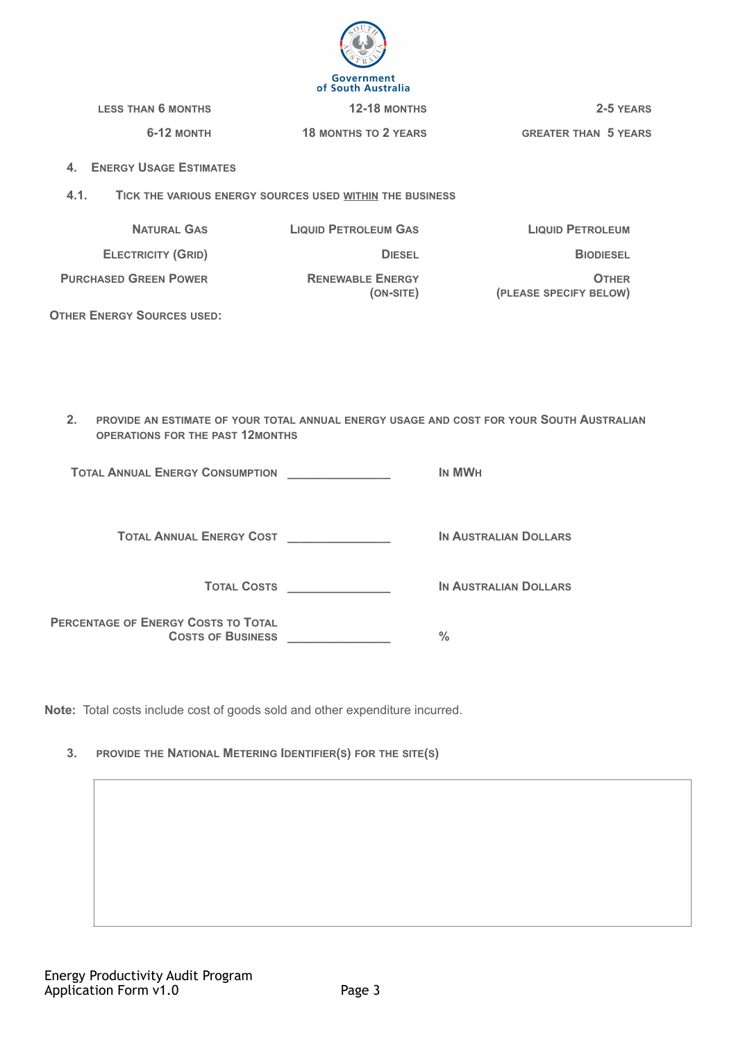

| 2-5 YEARS                   | <b>12-18 MONTHS</b>         | <b>LESS THAN 6 MONTHS</b> |
|-----------------------------|-----------------------------|---------------------------|
| <b>GREATER THAN 5 YEARS</b> | <b>18 MONTHS TO 2 YEARS</b> | $6-12$ MONTH              |

**4. ENERGY USAGE ESTIMATES**

**4.1. TICK THE VARIOUS ENERGY SOURCES USED WITHIN THE BUSINESS**

| <b>LIQUID PETROLEUM</b>                | <b>LIQUID PETROLEUM GAS</b>          | <b>NATURAL GAS</b>           |
|----------------------------------------|--------------------------------------|------------------------------|
| <b>BIODIESEL</b>                       | <b>DIESEL</b>                        | <b>ELECTRICITY (GRID)</b>    |
| <b>OTHER</b><br>(PLEASE SPECIFY BELOW) | <b>RENEWABLE ENERGY</b><br>(ON-SITE) | <b>PURCHASED GREEN POWER</b> |

**OTHER ENERGY SOURCES USED:** 

**2. PROVIDE AN ESTIMATE OF YOUR TOTAL ANNUAL ENERGY USAGE AND COST FOR YOUR SOUTH AUSTRALIAN OPERATIONS FOR THE PAST 12MONTHS**

| <b>TOTAL ANNUAL ENERGY CONSUMPTION</b>                          | IN MWH                |
|-----------------------------------------------------------------|-----------------------|
| <b>TOTAL ANNUAL ENERGY COST</b>                                 | IN AUSTRALIAN DOLLARS |
| <b>TOTAL COSTS</b>                                              | IN AUSTRALIAN DOLLARS |
| PERCENTAGE OF ENERGY COSTS TO TOTAL<br><b>COSTS OF BUSINESS</b> | $\%$                  |

**Note:** Total costs include cost of goods sold and other expenditure incurred.

**3. PROVIDE THE NATIONAL METERING IDENTIFIER(S) FOR THE SITE(S)**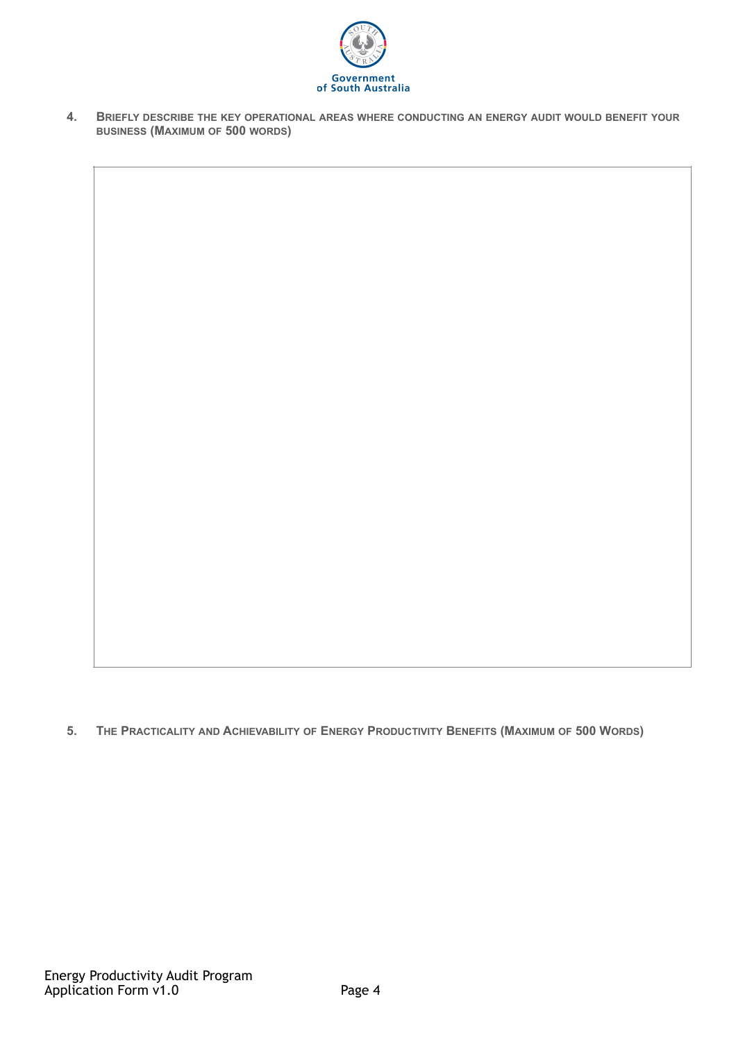

**4. BRIEFLY DESCRIBE THE KEY OPERATIONAL AREAS WHERE CONDUCTING AN ENERGY AUDIT WOULD BENEFIT YOUR BUSINESS (MAXIMUM OF 500 WORDS)** 

**5. THE PRACTICALITY AND ACHIEVABILITY OF ENERGY PRODUCTIVITY BENEFITS (MAXIMUM OF 500 WORDS)**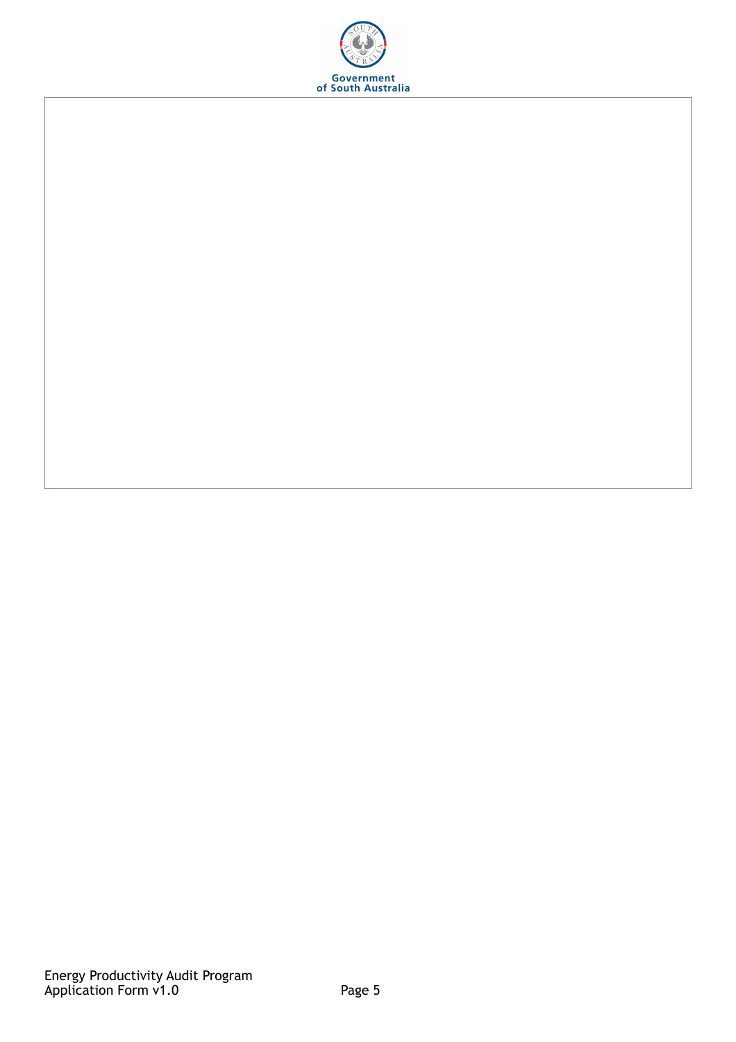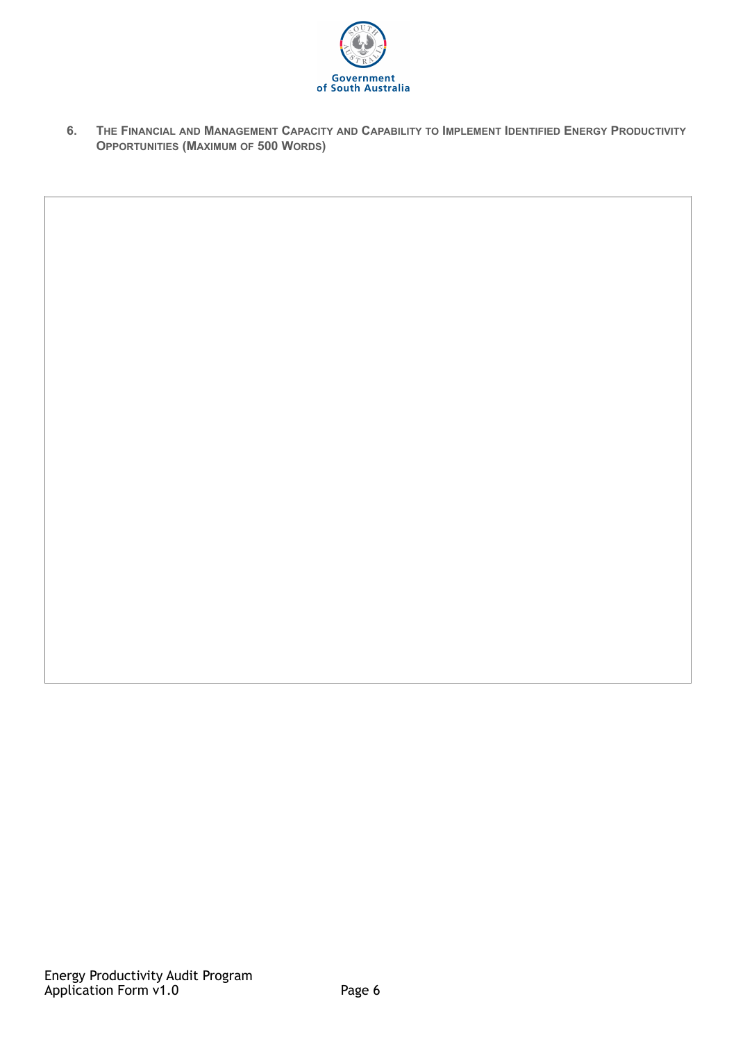

**6. THE FINANCIAL AND MANAGEMENT CAPACITY AND CAPABILITY TO IMPLEMENT IDENTIFIED ENERGY PRODUCTIVITY OPPORTUNITIES (MAXIMUM OF 500 WORDS)** 

Energy Productivity Audit Program Application Form v1.0 and the control of the Page 6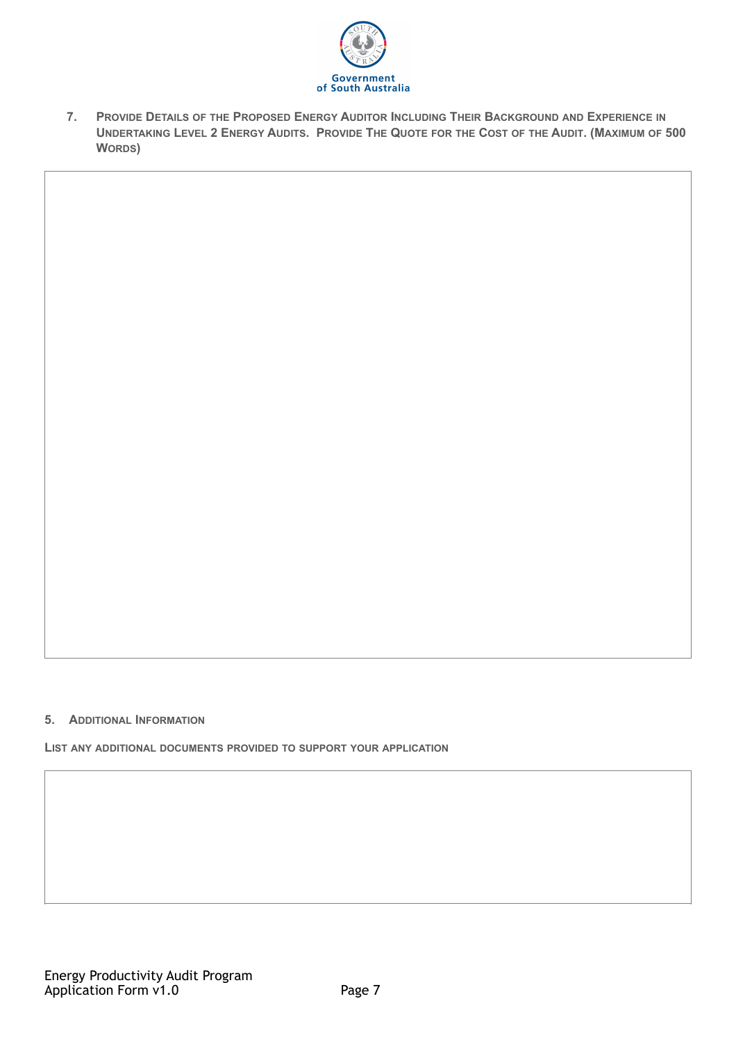

**7. PROVIDE DETAILS OF THE PROPOSED ENERGY AUDITOR INCLUDING THEIR BACKGROUND AND EXPERIENCE IN UNDERTAKING LEVEL 2 ENERGY AUDITS. PROVIDE THE QUOTE FOR THE COST OF THE AUDIT. (MAXIMUM OF 500 WORDS)** 

# **5. ADDITIONAL INFORMATION**

**LIST ANY ADDITIONAL DOCUMENTS PROVIDED TO SUPPORT YOUR APPLICATION**